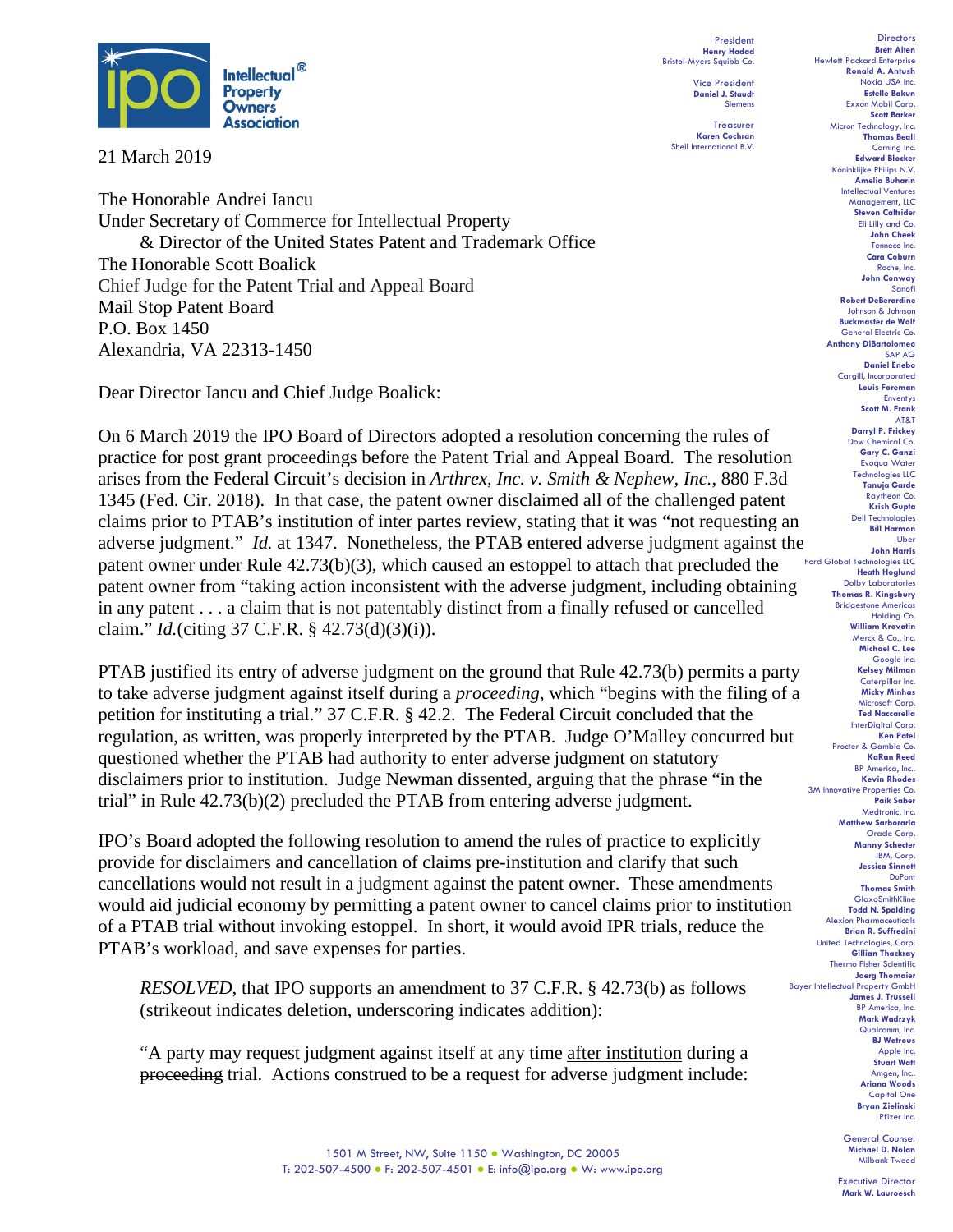

21 March 2019

The Honorable Andrei Iancu Under Secretary of Commerce for Intellectual Property & Director of the United States Patent and Trademark Office The Honorable Scott Boalick Chief Judge for the Patent Trial and Appeal Board Mail Stop Patent Board P.O. Box 1450 Alexandria, VA 22313-1450

Dear Director Iancu and Chief Judge Boalick:

On 6 March 2019 the IPO Board of Directors adopted a resolution concerning the rules of practice for post grant proceedings before the Patent Trial and Appeal Board. The resolution arises from the Federal Circuit's decision in *Arthrex, Inc. v. Smith & Nephew, Inc.*, 880 F.3d 1345 (Fed. Cir. 2018). In that case, the patent owner disclaimed all of the challenged patent claims prior to PTAB's institution of inter partes review, stating that it was "not requesting an adverse judgment." *Id.* at 1347. Nonetheless, the PTAB entered adverse judgment against the patent owner under Rule 42.73(b)(3), which caused an estoppel to attach that precluded the patent owner from "taking action inconsistent with the adverse judgment, including obtaining in any patent . . . a claim that is not patentably distinct from a finally refused or cancelled claim." *Id.*(citing 37 C.F.R. § 42.73(d)(3)(i)).

PTAB justified its entry of adverse judgment on the ground that Rule 42.73(b) permits a party to take adverse judgment against itself during a *proceeding*, which "begins with the filing of a petition for instituting a trial." 37 C.F.R. § 42.2. The Federal Circuit concluded that the regulation, as written, was properly interpreted by the PTAB. Judge O'Malley concurred but questioned whether the PTAB had authority to enter adverse judgment on statutory disclaimers prior to institution. Judge Newman dissented, arguing that the phrase "in the trial" in Rule 42.73(b)(2) precluded the PTAB from entering adverse judgment.

IPO's Board adopted the following resolution to amend the rules of practice to explicitly provide for disclaimers and cancellation of claims pre-institution and clarify that such cancellations would not result in a judgment against the patent owner. These amendments would aid judicial economy by permitting a patent owner to cancel claims prior to institution of a PTAB trial without invoking estoppel. In short, it would avoid IPR trials, reduce the PTAB's workload, and save expenses for parties.

*RESOLVED*, that IPO supports an amendment to 37 C.F.R. § 42.73(b) as follows (strikeout indicates deletion, underscoring indicates addition):

"A party may request judgment against itself at any time after institution during a proceeding trial. Actions construed to be a request for adverse judgment include:

President **Henry Hadad** Bristol-Myers Squibb Co.

> Vice President **Daniel J. Staudt** Siemens

**Treasurer Karen Cochran** Shell International B.V.

**Directors Brett Alten** Hewlett Packard Enterprise **Ronald A. Antush** Nokia USA Inc. **Estelle Bakun** Exxon Mobil Corp. **Scott Barker** Micron Technology, Inc. **Thomas Beall** Corning Inc. **Edward Blocker** Koninklijke Philips N.V. **Amelia Buharin** Intellectual Ventures Management, LLC **Steven Caltrider** Eli Lilly and Co. **John Cheek** Tenneco Inc. **Cara Coburn** Roche, Inc. **John Conway** Sanofi **Robert DeBerardine** Johnson & Johnson **Buckmaster de Wolf** General Electric Co. **Anthony DiBartolomeo** SAP AG **Daniel Enebo** Cargill, Incorporated **Louis Foreman** Enventys **Scott M. Frank** AT&T **Darryl P. Frickey** Dow Chemical Co. **Gary C. Ganzi** Evoqua Water Technologies LLC **Tanuja Garde** Raytheon Co. **Krish Gupta** Dell Technologies **Bill Harmon** Uber **John Harris** Ford Global Technologies LLC **Heath Hoglund** Dolby Laboratories **Thomas R. Kingsbury** Bridgestone Americas Holding Co. **William Krovatin** Merck & Co., Inc. **Michael C. Lee** Google Inc. **Kelsey Milman** Caterpillar Inc. **Micky Minhas** Microsoft Corp. **Ted Naccarella** InterDigital Corp. **Ken Patel** Procter & Gamble Co. **KaRan Reed** BP America, Inc.. **Kevin Rhodes** 3M Innovative Properties Co. **Paik Saber** Medtronic, Inc. **Matthew Sarboraria** Oracle Corp. **Manny Schecter** IBM, Corp. **Jessica Sinnott** DuPont **Thomas Smith** GlaxoSmithKline **Todd N. Spalding** Alexion Pharmaceuticals **Brian R. Suffredini** United Technologies, Corp. **Gillian Thackray** Thermo Fisher Scientific **Joerg Thomaier** Bayer Intellectual Property GmbH **James J. Trussell** BP America, Inc. **Mark Wadrzyk** Qualcomm, Inc. **BJ Watrous** Apple Inc. **Stuart Watt** Amgen, Inc.. **Ariana Woods** Capital One **Bryan Zielinski** Pfizer Inc.

> General Counsel **Michael D. Nolan** Milbank Tweed